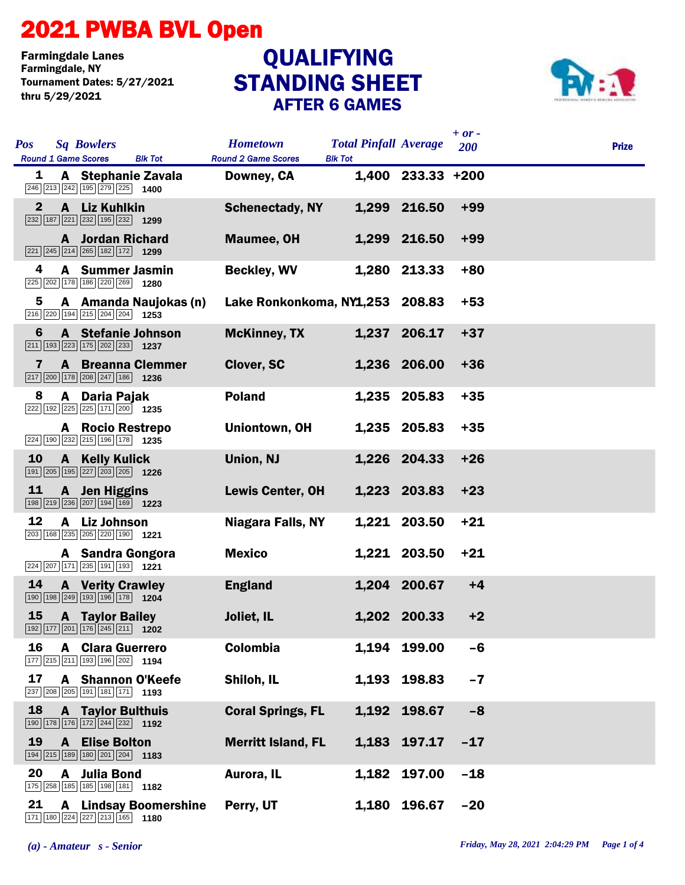## 2021 PWBA BVL Open

Farmingdale Lanes Tournament Dates: 5/27/2021 thru 5/29/2021

## STANDING SHEET AFTER 6 GAMES **QUALIFYING**



| <b>Pos</b><br><b>Sq Bowlers</b><br><b>Round 1 Game Scores</b><br><b>Blk Tot</b>                                                   | <b>Hometown</b><br><b>Round 2 Game Scores</b> | <b>Total Pinfall Average</b><br><b>Blk Tot</b> |                   | $+ or -$<br>200 | <b>Prize</b> |  |
|-----------------------------------------------------------------------------------------------------------------------------------|-----------------------------------------------|------------------------------------------------|-------------------|-----------------|--------------|--|
| A Stephanie Zavala<br>1<br>$\boxed{246}$ $\boxed{213}$ $\boxed{242}$ $\boxed{195}$ $\boxed{279}$ $\boxed{225}$ <b>1400</b>        | Downey, CA                                    |                                                | 1,400 233.33 +200 |                 |              |  |
| A Liz Kuhlkin<br>$\mathbf{2}$<br>$\boxed{232}$ 187 $\boxed{221}$ $\boxed{232}$ 195 $\boxed{232}$ 1299                             | <b>Schenectady, NY</b>                        |                                                | 1,299 216.50      | $+99$           |              |  |
| <b>A</b> Jordan Richard<br>$\boxed{221}$ $\boxed{245}$ $\boxed{214}$ $\boxed{265}$ $\boxed{182}$ $\boxed{172}$ <b>1299</b>        | <b>Maumee, OH</b>                             |                                                | 1,299 216.50      | $+99$           |              |  |
| A Summer Jasmin<br>4<br>$\boxed{225}$ $\boxed{202}$ 178 186 220 269 1280                                                          | <b>Beckley, WV</b>                            |                                                | 1,280 213.33      | $+80$           |              |  |
| 5<br>A Amanda Naujokas (n)<br>$\boxed{216}$ $\boxed{220}$ 194 215 204 204 1253                                                    | Lake Ronkonkoma, NY1,253 208.83               |                                                |                   | $+53$           |              |  |
| A Stefanie Johnson<br>6<br>$\boxed{211}$ $\boxed{193}$ $\boxed{223}$ $\boxed{175}$ $\boxed{202}$ $\boxed{233}$ <b>1237</b>        | <b>McKinney, TX</b>                           |                                                | 1,237 206.17      | $+37$           |              |  |
| 7<br><b>A</b> Breanna Clemmer<br>$\boxed{217}$ $\boxed{200}$ 178 208 247 186 1236                                                 | <b>Clover, SC</b>                             |                                                | 1,236 206.00      | $+36$           |              |  |
| 8<br>A Daria Pajak                                                                                                                | <b>Poland</b>                                 |                                                | 1,235 205.83      | $+35$           |              |  |
| A Rocio Restrepo<br>$\boxed{224}$ 190 232 215 196 178 1235                                                                        | Uniontown, OH                                 |                                                | 1,235 205.83      | $+35$           |              |  |
| 10<br><b>A</b> Kelly Kulick<br>$\boxed{191}$ $\boxed{205}$ $\boxed{195}$ $\boxed{227}$ $\boxed{203}$ $\boxed{205}$ 1226           | Union, NJ                                     |                                                | 1,226 204.33      | $+26$           |              |  |
| 11<br>A Jen Higgins<br>198 219 236 207 194 169 1223                                                                               | <b>Lewis Center, OH</b>                       |                                                | 1,223 203.83      | $+23$           |              |  |
| 12<br>A Liz Johnson<br>203 168 235 205 220 190 1221                                                                               | <b>Niagara Falls, NY</b>                      |                                                | 1,221 203.50      | $+21$           |              |  |
| A Sandra Gongora<br>$\boxed{224}$ $\boxed{207}$ $\boxed{171}$ $\boxed{235}$ $\boxed{191}$ $\boxed{193}$ <b>1221</b>               | <b>Mexico</b>                                 |                                                | 1,221 203.50      | $+21$           |              |  |
| 14<br><b>A</b> Verity Crawley<br>190 198 249 193 196 178 1204                                                                     | <b>England</b>                                |                                                | 1,204 200.67      | $+4$            |              |  |
| 15<br><b>A</b> Taylor Bailey<br>$\boxed{192}$ $\boxed{177}$ $\boxed{201}$ $\boxed{176}$ $\boxed{245}$ $\boxed{211}$ <b>1202</b>   | Joliet, IL                                    |                                                | 1,202 200.33      | $+2$            |              |  |
| 16<br>A<br><b>Clara Guerrero</b><br>177 215 211 193 196 202 1194                                                                  | Colombia                                      |                                                | 1,194 199.00      | $-6$            |              |  |
| 17<br>A Shannon O'Keefe<br>237 208 205 191 181 171 193                                                                            | Shiloh, IL                                    |                                                | 1,193 198.83      | $-7$            |              |  |
| 18<br><b>A</b> Taylor Bulthuis<br>$\boxed{190}$ $\boxed{178}$ $\boxed{176}$ $\boxed{172}$ $\boxed{244}$ $\boxed{232}$ <b>1192</b> | <b>Coral Springs, FL</b>                      |                                                | 1,192 198.67      | $-8$            |              |  |
| 19<br><b>A</b> Elise Bolton<br>$\boxed{194}$ $\boxed{215}$ $\boxed{189}$ $\boxed{180}$ $\boxed{201}$ $\boxed{204}$ <b>1183</b>    | <b>Merritt Island, FL</b>                     |                                                | 1,183 197.17      | $-17$           |              |  |
| 20<br><b>Julia Bond</b><br>A<br>175 258 185 185 198 181 182                                                                       | Aurora, IL                                    |                                                | 1,182 197.00      | $-18$           |              |  |
| 21<br><b>A</b> Lindsay Boomershine<br>171 180 224 227 213 165 1180                                                                | Perry, UT                                     |                                                | 1,180 196.67      | $-20$           |              |  |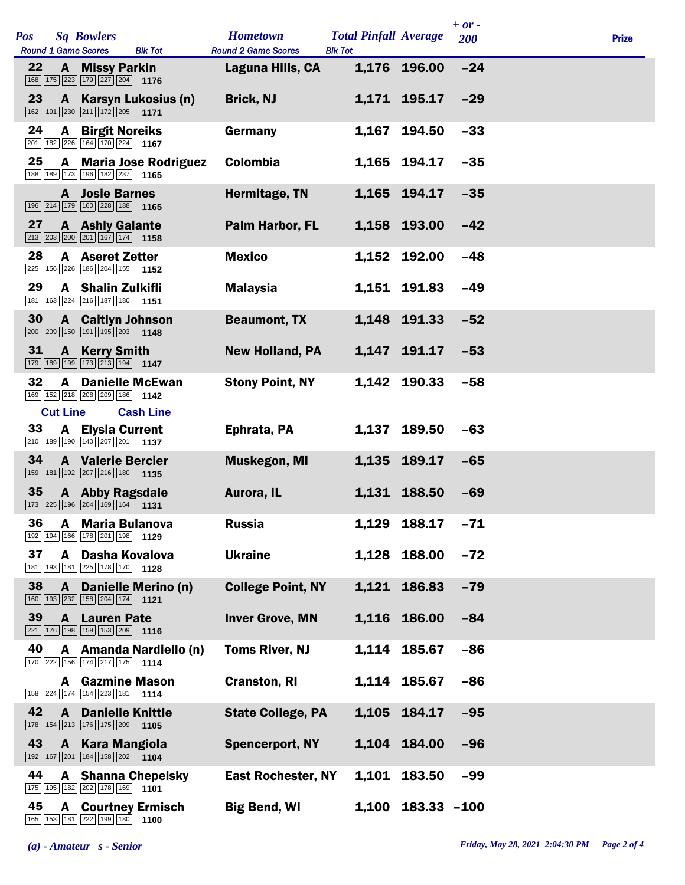| Pos |                 | <b>Sq Bowlers</b><br><b>Round 1 Game Scores</b><br><b>Blk Tot</b>                                                          | <b>Hometown</b><br><b>Round 2 Game Scores</b> | <b>Total Pinfall Average</b><br><b>Blk Tot</b> |                   | $+ or -$<br>200 | <b>Prize</b> |
|-----|-----------------|----------------------------------------------------------------------------------------------------------------------------|-----------------------------------------------|------------------------------------------------|-------------------|-----------------|--------------|
| 22  |                 | <b>A</b> Missy Parkin<br>$\boxed{168}$ $\boxed{175}$ $\boxed{223}$ $\boxed{179}$ $\boxed{227}$ $\boxed{204}$ 1176          | Laguna Hills, CA                              |                                                | 1,176 196.00      | $-24$           |              |
| 23  | A               | Karsyn Lukosius (n)<br>162 191 230 211 172 205 1171                                                                        | <b>Brick, NJ</b>                              |                                                | 1,171 195.17      | $-29$           |              |
| 24  | A               | <b>Birgit Noreiks</b><br>$\boxed{201}$ 182 $\boxed{226}$ 164 170 224 1167                                                  | Germany                                       | 1,167                                          | 194.50            | $-33$           |              |
| 25  |                 | <b>A</b> Maria Jose Rodriguez<br>188 189 173 196 182 237 1165                                                              | Colombia                                      |                                                | 1,165 194.17      | $-35$           |              |
|     | A               | <b>Josie Barnes</b><br>196 214 179 160 228 188<br>1165                                                                     | Hermitage, TN                                 | 1,165                                          | 194.17            | $-35$           |              |
| 27  |                 | <b>A</b> Ashly Galante<br>$\boxed{213}$ $\boxed{203}$ $\boxed{200}$ $\boxed{201}$ $\boxed{167}$ $\boxed{174}$ <b>1158</b>  | Palm Harbor, FL                               |                                                | 1,158 193.00      | $-42$           |              |
| 28  |                 | <b>A</b> Aseret Zetter<br>225 156 226 186 204 155 1152                                                                     | <b>Mexico</b>                                 | 1,152                                          | 192.00            | $-48$           |              |
| 29  |                 | <b>A</b> Shalin Zulkifli<br>181 163 224 216 187 180 151                                                                    | <b>Malaysia</b>                               |                                                | 1,151 191.83      | $-49$           |              |
| 30  |                 | <b>A</b> Caitlyn Johnson<br>200 209 150 191 195 203 1148                                                                   | <b>Beaumont, TX</b>                           |                                                | 1,148 191.33      | $-52$           |              |
| 31  | A               | <b>Kerry Smith</b><br>179 189 199 173 213 194 1147                                                                         | <b>New Holland, PA</b>                        |                                                | 1,147 191.17      | $-53$           |              |
| 32  | A               | <b>Danielle McEwan</b><br>169 152 218 208 209 186 1142                                                                     | <b>Stony Point, NY</b>                        | 1,142                                          | 190.33            | $-58$           |              |
|     | <b>Cut Line</b> | <b>Cash Line</b>                                                                                                           |                                               |                                                |                   |                 |              |
| 33  |                 | <b>A</b> Elysia Current<br>210 189 190 140 207 201 1137                                                                    | Ephrata, PA                                   | 1,137                                          | 189.50            | $-63$           |              |
| 34  | A               | <b>Valerie Bercier</b><br>159 181 192 207 216 180 135                                                                      | <b>Muskegon, MI</b>                           | 1,135                                          | 189.17            | $-65$           |              |
| 35  |                 | <b>A</b> Abby Ragsdale<br>$\boxed{173}$ $\boxed{225}$ $\boxed{196}$ $\boxed{204}$ $\boxed{169}$ $\boxed{164}$ <b>1131</b>  | Aurora, IL                                    |                                                | 1,131 188.50      | $-69$           |              |
| 36  | A               | <b>Maria Bulanova</b><br>192 194 166 178 201 198 1129                                                                      | <b>Russia</b>                                 |                                                | 1,129 188.17      | -71             |              |
| 37  | A               | Dasha Kovalova<br>181 193 181 225 178 170 1128                                                                             | <b>Ukraine</b>                                |                                                | 1,128 188.00      | $-72$           |              |
| 38  | A               | Danielle Merino (n)<br>160 193 232 158 204 174 1121                                                                        | <b>College Point, NY</b>                      |                                                | 1,121 186.83      | $-79$           |              |
| 39  |                 | <b>A</b> Lauren Pate<br>$\boxed{221}$ $\boxed{176}$ $\boxed{198}$ $\boxed{159}$ $\boxed{153}$ $\boxed{209}$ <b>1116</b>    | <b>Inver Grove, MN</b>                        |                                                | 1,116 186.00      | $-84$           |              |
| 40  |                 | A Amanda Nardiello (n)<br>170 222 156 174 217 175 1114                                                                     | <b>Toms River, NJ</b>                         |                                                | 1,114 185.67      | $-86$           |              |
|     |                 | <b>A</b> Gazmine Mason<br>158 224 174 154 223 181 1114                                                                     | <b>Cranston, RI</b>                           |                                                | 1,114 185.67      | $-86$           |              |
| 42  | $\mathbf{A}$    | <b>Danielle Knittle</b><br>$\boxed{178}$ $\boxed{154}$ $\boxed{213}$ $\boxed{176}$ $\boxed{175}$ $\boxed{209}$ <b>1105</b> | <b>State College, PA</b>                      | 1,105                                          | 184.17            | $-95$           |              |
| 43  | $\mathbf{A}$    | <b>Kara Mangiola</b><br>192 167 201 184 158 202 1104                                                                       | <b>Spencerport, NY</b>                        |                                                | 1,104 184.00      | $-96$           |              |
| 44  | A               | <b>Shanna Chepelsky</b><br>175 195 182 202 178 169 1101                                                                    | <b>East Rochester, NY</b>                     | 1,101                                          | 183.50            | $-99$           |              |
| 45  |                 | <b>A</b> Courtney Ermisch<br>165 153 181 222 199 180<br>1100                                                               | <b>Big Bend, WI</b>                           |                                                | 1,100 183.33 -100 |                 |              |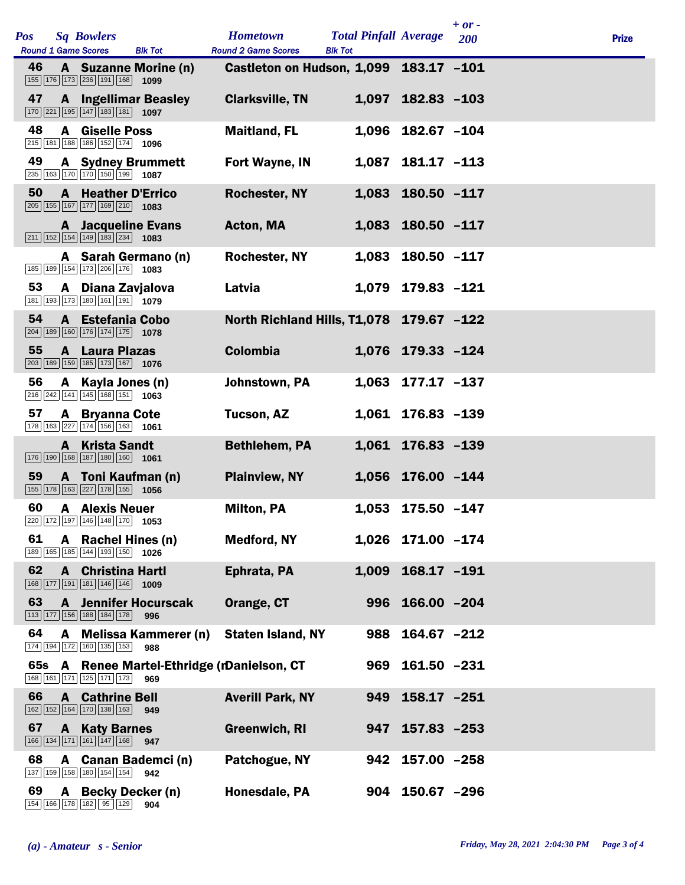|            |              |                                                                                                                                              |                                                |                                                                 |                              |                   | $+ or -$ |              |
|------------|--------------|----------------------------------------------------------------------------------------------------------------------------------------------|------------------------------------------------|-----------------------------------------------------------------|------------------------------|-------------------|----------|--------------|
| <b>Pos</b> |              | <b>Sq Bowlers</b><br><b>Round 1 Game Scores</b>                                                                                              | <b>Blk Tot</b>                                 | <b>Hometown</b><br><b>Round 2 Game Scores</b><br><b>Blk Tot</b> | <b>Total Pinfall Average</b> |                   | 200      | <b>Prize</b> |
| 46         |              | 155 176 173 236 191 168 1099                                                                                                                 | A Suzanne Morine (n)                           | Castleton on Hudson, 1,099 183.17 -101                          |                              |                   |          |              |
| 47         |              | <b>A</b> Ingellimar Beasley<br>$\boxed{170}$ $\boxed{221}$ $\boxed{195}$ $\boxed{147}$ $\boxed{183}$ $\boxed{181}$ <b>1097</b>               |                                                | <b>Clarksville, TN</b>                                          |                              | 1,097 182.83 -103 |          |              |
| 48         |              | <b>A</b> Giselle Poss<br>215 181 188 186 152 174 1096                                                                                        |                                                | <b>Maitland, FL</b>                                             |                              | 1,096 182.67 -104 |          |              |
| 49         |              | <b>A</b> Sydney Brummett<br>235 163 170 170 150 199 1087                                                                                     |                                                | Fort Wayne, IN                                                  |                              | 1,087 181.17 -113 |          |              |
| 50         |              | <b>A</b> Heather D'Errico<br>$\boxed{205}$ 155 167 177 169 210 1083                                                                          |                                                | <b>Rochester, NY</b>                                            | 1,083                        | $180.50 - 117$    |          |              |
|            |              | <b>A</b> Jacqueline Evans<br>$\boxed{211}$ 152 154 149 183 234 1083                                                                          |                                                | Acton, MA                                                       |                              | 1,083 180.50 -117 |          |              |
|            |              | A Sarah Germano (n)<br>185 189 154 173 206 176 1083                                                                                          |                                                | <b>Rochester, NY</b>                                            |                              | 1,083 180.50 -117 |          |              |
| 53         |              | A Diana Zavjalova<br>181 193 173 180 161 191 1079                                                                                            |                                                | Latvia                                                          |                              | 1,079 179.83 -121 |          |              |
| 54         |              | A Estefania Cobo<br>204 189 160 176 174 175 1078                                                                                             |                                                | North Richland Hills, T1,078 179.67 -122                        |                              |                   |          |              |
| 55         |              | <b>A</b> Laura Plazas<br>203 189 159 185 173 167 1076                                                                                        |                                                | <b>Colombia</b>                                                 |                              | 1,076 179.33 -124 |          |              |
| 56         |              | A Kayla Jones (n)<br>$\overline{216}$ $\overline{242}$ $\overline{141}$ $\overline{145}$ $\overline{168}$ $\overline{151}$ $\overline{1063}$ |                                                | Johnstown, PA                                                   |                              | 1,063 177.17 -137 |          |              |
| 57         |              | <b>A</b> Bryanna Cote<br>178 163 227 174 156 163 1061                                                                                        |                                                | Tucson, AZ                                                      |                              | 1,061 176.83 -139 |          |              |
|            | A            | <b>Krista Sandt</b><br>176 190 168 187 180 160 1061                                                                                          |                                                | <b>Bethlehem, PA</b>                                            |                              | 1,061 176.83 -139 |          |              |
| 59         |              | A Toni Kaufman (n)<br>155 178 163 227 178 155 1056                                                                                           |                                                | <b>Plainview, NY</b>                                            |                              | 1,056 176.00 -144 |          |              |
| 60         |              | <b>A</b> Alexis Neuer<br>220 172 197 146 148 170 1053                                                                                        |                                                | <b>Milton, PA</b>                                               |                              | 1,053 175.50 -147 |          |              |
| 61         |              | A Rachel Hines (n)<br>189 165 185 144 193 150 1026                                                                                           |                                                | <b>Medford, NY</b>                                              |                              | 1,026 171.00 -174 |          |              |
| 62         | A            | <b>Christina Hartl</b><br>168 177 191 181 146 146 1009                                                                                       |                                                | Ephrata, PA                                                     | 1,009                        | $168.17 - 191$    |          |              |
| 63         | $\mathbf{A}$ | 113 177 156 188 184 178                                                                                                                      | <b>Jennifer Hocurscak</b><br>996               | Orange, CT                                                      | 996                          | 166.00 -204       |          |              |
| 64         | A            | 174 194 172 160 135 153                                                                                                                      | Melissa Kammerer (n)<br>988                    | <b>Staten Island, NY</b>                                        | 988                          | $164.67 -212$     |          |              |
| 65s        |              | 168 161 171 125 171 173                                                                                                                      | A Renee Martel-Ethridge (rDanielson, CT<br>969 |                                                                 | 969                          | $161.50 - 231$    |          |              |
| 66         | $\mathbf{A}$ | <b>Cathrine Bell</b><br>162 152 164 170 138 163                                                                                              | 949                                            | <b>Averill Park, NY</b>                                         | 949                          | 158.17 -251       |          |              |
| 67         |              | <b>A</b> Katy Barnes<br>166 134 171 161 147 168                                                                                              | 947                                            | <b>Greenwich, RI</b>                                            | 947                          | $157.83 - 253$    |          |              |
| 68         | A            | <b>Canan Bademci (n)</b><br>137 159 158 180 154 154 942                                                                                      |                                                | Patchogue, NY                                                   | 942                          | 157.00 -258       |          |              |
| 69         |              | A Becky Decker (n)<br>154 166 178 182 95 129                                                                                                 | 904                                            | Honesdale, PA                                                   |                              | 904 150.67 -296   |          |              |